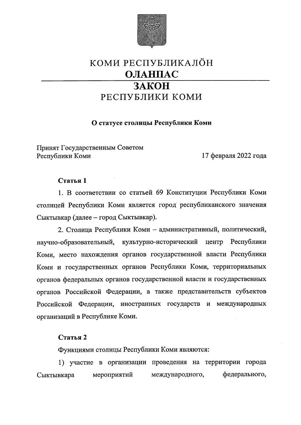

# КОМИ РЕСПУБЛИКАЛӦН ОЛАНПАС ЗАКОН РЕСПУБЛИКИ КОМИ

## О статусе столицы Республики Коми

Принят Государственным Советом Республики Коми

17 февраля 2022 года

#### Статья 1

1. В соответствии со статьей 69 Конституции Республики Коми столицей Республики Коми является город республиканского значения Сыктывкар (далее – город Сыктывкар).

2. Столица Республики Коми - административный, политический, Республики научно-образовательный, культурно-исторический центр Коми, место нахождения органов государственной власти Республики Коми и государственных органов Республики Коми, территориальных органов федеральных органов государственной власти и государственных органов Российской Федерации, а также представительств субъектов Российской Федерации, иностранных государств и международных организаций в Республике Коми.

### Статья 2

Функциями столицы Республики Коми являются:

1) участие в организации проведения на территории города федерального, Сыктывкара мероприятий международного,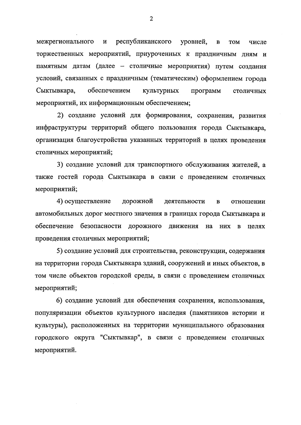межрегионального  $\, {\bf N}$ республиканского уровней,  $\, {\bf B}$ **TOM** числе торжественных мероприятий, приуроченных к праздничным дням и памятным датам (далее - столичные мероприятия) путем создания условий, связанных с праздничным (тематическим) оформлением города обеспечением Сыктывкара, культурных программ столичных мероприятий, их информационным обеспечением;

2) создание условий для формирования, сохранения, развития инфраструктуры территорий общего пользования города Сыктывкара, организация благоустройства указанных территорий в целях проведения столичных мероприятий;

3) создание условий для транспортного обслуживания жителей, а также гостей города Сыктывкара в связи с проведением столичных мероприятий;

4) осуществление дорожной деятельности отношении  $\bf{B}$ автомобильных дорог местного значения в границах города Сыктывкара и обеспечение безопасности дорожного движения на них в целях проведения столичных мероприятий;

5) создание условий для строительства, реконструкции, содержания на территории города Сыктывкара зданий, сооружений и иных объектов, в том числе объектов городской среды, в связи с проведением столичных мероприятий;

6) создание условий для обеспечения сохранения, использования, популяризации объектов культурного наследия (памятников истории и культуры), расположенных на территории муниципального образования городского округа "Сыктывкар", в связи с проведением столичных мероприятий.

 $\overline{2}$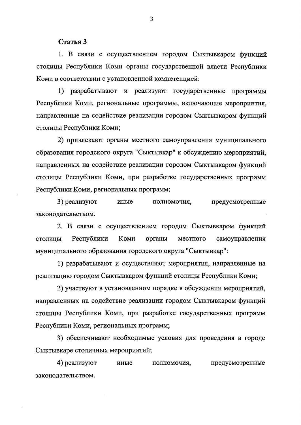Статья 3

1. В связи с осуществлением городом Сыктывкаром функций столицы Республики Коми органы государственной власти Республики Коми в соответствии с установленной компетенцией:

1) разрабатывают и реализуют государственные программы Республики Коми, региональные программы, включающие мероприятия, направленные на содействие реализации городом Сыктывкаром функций столицы Республики Коми;

2) привлекают органы местного самоуправления муниципального образования городского округа "Сыктывкар" к обсуждению мероприятий, направленных на содействие реализации городом Сыктывкаром функций столицы Республики Коми, при разработке государственных программ Республики Коми, региональных программ;

3) реализуют предусмотренные иные полномочия, законодательством.

2. В связи с осуществлением городом Сыктывкаром функций столицы Республики Коми органы местного самоуправления муниципального образования городского округа "Сыктывкар":

1) разрабатывают и осуществляют мероприятия, направленные на реализацию городом Сыктывкаром функций столицы Республики Коми;

2) участвуют в установленном порядке в обсуждении мероприятий, направленных на содействие реализации городом Сыктывкаром функций столицы Республики Коми, при разработке государственных программ Республики Коми, региональных программ;

3) обеспечивают необходимые условия для проведения в городе Сыктывкаре столичных мероприятий;

4) реализуют предусмотренные иные полномочия, законодательством.

 $\overline{3}$